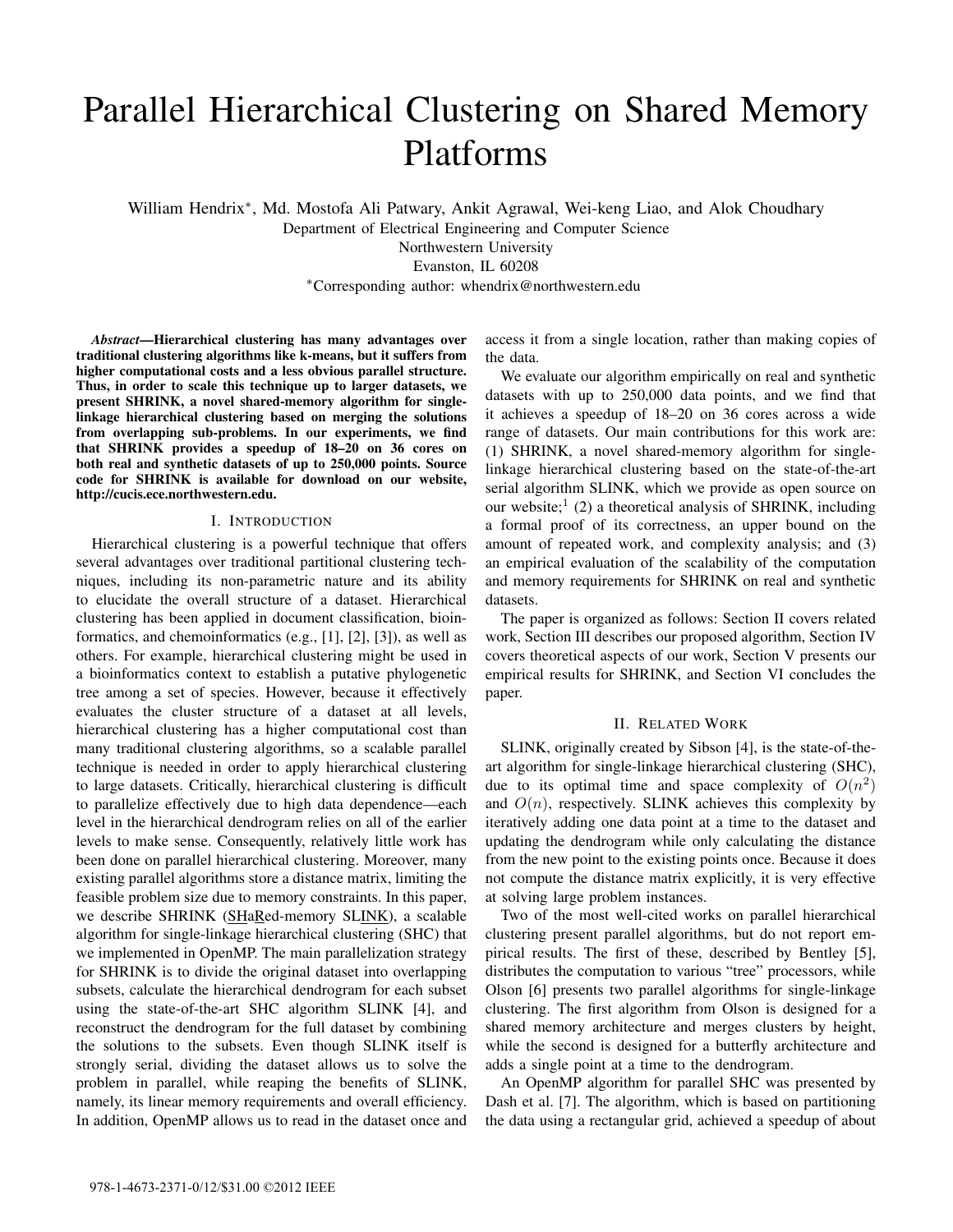# Parallel Hierarchical Clustering on Shared Memory Platforms

William Hendrix<sup>\*</sup>, Md. Mostofa Ali Patwary, Ankit Agrawal, Wei-keng Liao, and Alok Choudhary Department of Electrical Engineering and Computer Science Northwestern University Evanston, IL 60208

<sup>∗</sup>Corresponding author: whendrix@northwestern.edu

*Abstract*—Hierarchical clustering has many advantages over traditional clustering algorithms like k-means, but it suffers from higher computational costs and a less obvious parallel structure. Thus, in order to scale this technique up to larger datasets, we present SHRINK, a novel shared-memory algorithm for singlelinkage hierarchical clustering based on merging the solutions from overlapping sub-problems. In our experiments, we find that SHRINK provides a speedup of 18–20 on 36 cores on both real and synthetic datasets of up to 250,000 points. Source code for SHRINK is available for download on our website, http://cucis.ece.northwestern.edu.

## I. INTRODUCTION

Hierarchical clustering is a powerful technique that offers several advantages over traditional partitional clustering techniques, including its non-parametric nature and its ability to elucidate the overall structure of a dataset. Hierarchical clustering has been applied in document classification, bioinformatics, and chemoinformatics (e.g., [1], [2], [3]), as well as others. For example, hierarchical clustering might be used in a bioinformatics context to establish a putative phylogenetic tree among a set of species. However, because it effectively evaluates the cluster structure of a dataset at all levels, hierarchical clustering has a higher computational cost than many traditional clustering algorithms, so a scalable parallel technique is needed in order to apply hierarchical clustering to large datasets. Critically, hierarchical clustering is difficult to parallelize effectively due to high data dependence—each level in the hierarchical dendrogram relies on all of the earlier levels to make sense. Consequently, relatively little work has been done on parallel hierarchical clustering. Moreover, many existing parallel algorithms store a distance matrix, limiting the feasible problem size due to memory constraints. In this paper, we describe SHRINK (SHaRed-memory SLINK), a scalable algorithm for single-linkage hierarchical clustering (SHC) that we implemented in OpenMP. The main parallelization strategy for SHRINK is to divide the original dataset into overlapping subsets, calculate the hierarchical dendrogram for each subset using the state-of-the-art SHC algorithm SLINK [4], and reconstruct the dendrogram for the full dataset by combining the solutions to the subsets. Even though SLINK itself is strongly serial, dividing the dataset allows us to solve the problem in parallel, while reaping the benefits of SLINK, namely, its linear memory requirements and overall efficiency. In addition, OpenMP allows us to read in the dataset once and

access it from a single location, rather than making copies of the data.

We evaluate our algorithm empirically on real and synthetic datasets with up to 250,000 data points, and we find that it achieves a speedup of 18–20 on 36 cores across a wide range of datasets. Our main contributions for this work are: (1) SHRINK, a novel shared-memory algorithm for singlelinkage hierarchical clustering based on the state-of-the-art serial algorithm SLINK, which we provide as open source on our website; $(2)$  a theoretical analysis of SHRINK, including a formal proof of its correctness, an upper bound on the amount of repeated work, and complexity analysis; and (3) an empirical evaluation of the scalability of the computation and memory requirements for SHRINK on real and synthetic datasets.

The paper is organized as follows: Section II covers related work, Section III describes our proposed algorithm, Section IV covers theoretical aspects of our work, Section V presents our empirical results for SHRINK, and Section VI concludes the paper.

# II. RELATED WORK

SLINK, originally created by Sibson [4], is the state-of-theart algorithm for single-linkage hierarchical clustering (SHC), due to its optimal time and space complexity of  $O(n^2)$ and  $O(n)$ , respectively. SLINK achieves this complexity by iteratively adding one data point at a time to the dataset and updating the dendrogram while only calculating the distance from the new point to the existing points once. Because it does not compute the distance matrix explicitly, it is very effective at solving large problem instances.

Two of the most well-cited works on parallel hierarchical clustering present parallel algorithms, but do not report empirical results. The first of these, described by Bentley [5], distributes the computation to various "tree" processors, while Olson [6] presents two parallel algorithms for single-linkage clustering. The first algorithm from Olson is designed for a shared memory architecture and merges clusters by height, while the second is designed for a butterfly architecture and adds a single point at a time to the dendrogram.

An OpenMP algorithm for parallel SHC was presented by Dash et al. [7]. The algorithm, which is based on partitioning the data using a rectangular grid, achieved a speedup of about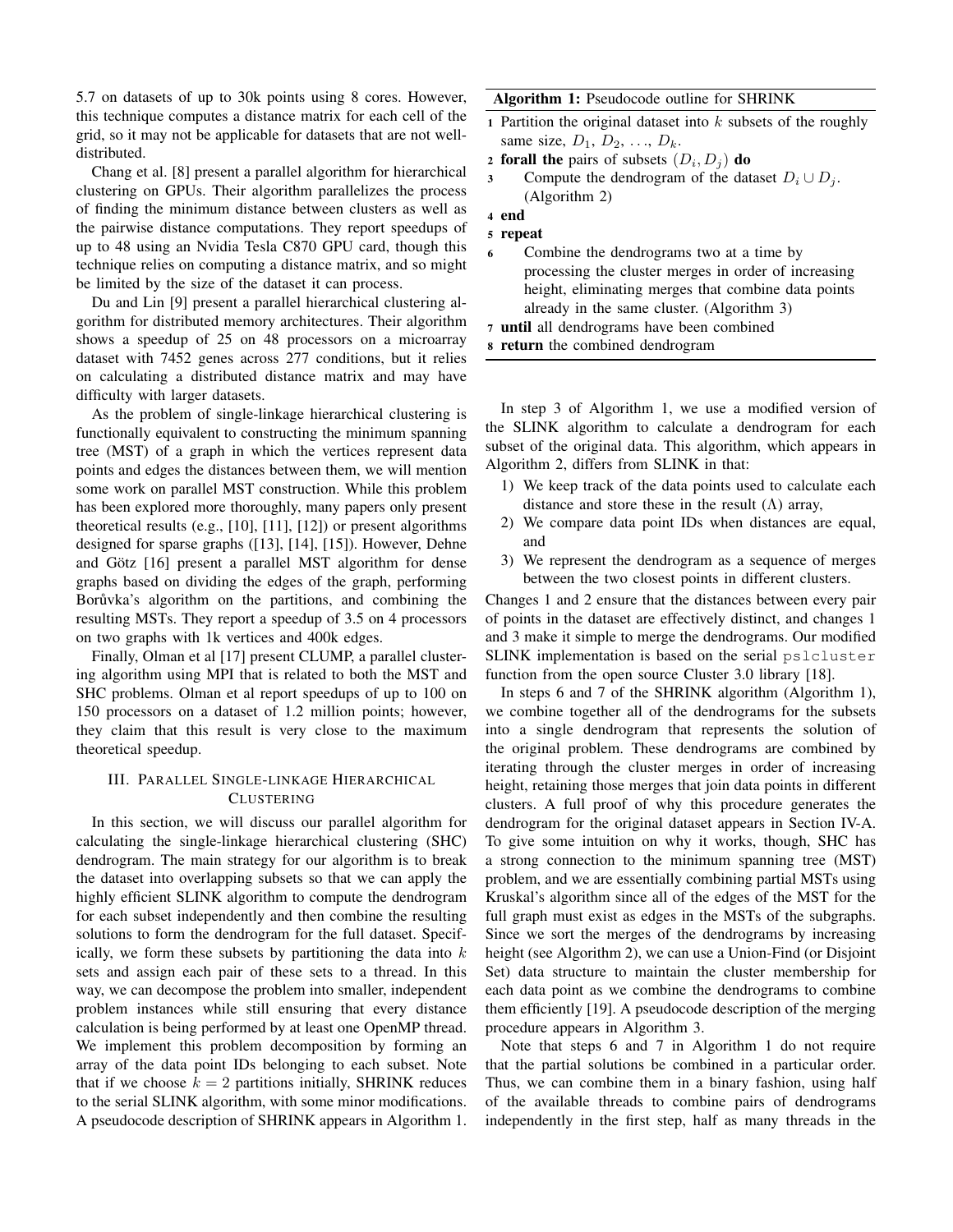5.7 on datasets of up to 30k points using 8 cores. However, this technique computes a distance matrix for each cell of the grid, so it may not be applicable for datasets that are not welldistributed.

Chang et al. [8] present a parallel algorithm for hierarchical clustering on GPUs. Their algorithm parallelizes the process of finding the minimum distance between clusters as well as the pairwise distance computations. They report speedups of up to 48 using an Nvidia Tesla C870 GPU card, though this technique relies on computing a distance matrix, and so might be limited by the size of the dataset it can process.

Du and Lin [9] present a parallel hierarchical clustering algorithm for distributed memory architectures. Their algorithm shows a speedup of 25 on 48 processors on a microarray dataset with 7452 genes across 277 conditions, but it relies on calculating a distributed distance matrix and may have difficulty with larger datasets.

As the problem of single-linkage hierarchical clustering is functionally equivalent to constructing the minimum spanning tree (MST) of a graph in which the vertices represent data points and edges the distances between them, we will mention some work on parallel MST construction. While this problem has been explored more thoroughly, many papers only present theoretical results (e.g., [10], [11], [12]) or present algorithms designed for sparse graphs ([13], [14], [15]). However, Dehne and Götz [16] present a parallel MST algorithm for dense graphs based on dividing the edges of the graph, performing Boruvka's algorithm on the partitions, and combining the resulting MSTs. They report a speedup of 3.5 on 4 processors on two graphs with 1k vertices and 400k edges.

Finally, Olman et al [17] present CLUMP, a parallel clustering algorithm using MPI that is related to both the MST and SHC problems. Olman et al report speedups of up to 100 on 150 processors on a dataset of 1.2 million points; however, they claim that this result is very close to the maximum theoretical speedup.

# III. PARALLEL SINGLE-LINKAGE HIERARCHICAL CLUSTERING

In this section, we will discuss our parallel algorithm for calculating the single-linkage hierarchical clustering (SHC) dendrogram. The main strategy for our algorithm is to break the dataset into overlapping subsets so that we can apply the highly efficient SLINK algorithm to compute the dendrogram for each subset independently and then combine the resulting solutions to form the dendrogram for the full dataset. Specifically, we form these subsets by partitioning the data into  $k$ sets and assign each pair of these sets to a thread. In this way, we can decompose the problem into smaller, independent problem instances while still ensuring that every distance calculation is being performed by at least one OpenMP thread. We implement this problem decomposition by forming an array of the data point IDs belonging to each subset. Note that if we choose  $k = 2$  partitions initially, SHRINK reduces to the serial SLINK algorithm, with some minor modifications. A pseudocode description of SHRINK appears in Algorithm 1. Algorithm 1: Pseudocode outline for SHRINK

- 1 Partition the original dataset into  $k$  subsets of the roughly same size,  $D_1$ ,  $D_2$ , ...,  $D_k$ .
- 2 forall the pairs of subsets  $(D_i, D_j)$  do
- 3 Compute the dendrogram of the dataset  $D_i \cup D_j$ . (Algorithm 2)
- <sup>4</sup> end
- <sup>5</sup> repeat
- <sup>6</sup> Combine the dendrograms two at a time by processing the cluster merges in order of increasing height, eliminating merges that combine data points already in the same cluster. (Algorithm 3)
- <sup>7</sup> until all dendrograms have been combined
- <sup>8</sup> return the combined dendrogram

In step 3 of Algorithm 1, we use a modified version of the SLINK algorithm to calculate a dendrogram for each subset of the original data. This algorithm, which appears in Algorithm 2, differs from SLINK in that:

- 1) We keep track of the data points used to calculate each distance and store these in the result  $(Λ)$  array,
- 2) We compare data point IDs when distances are equal, and
- 3) We represent the dendrogram as a sequence of merges between the two closest points in different clusters.

Changes 1 and 2 ensure that the distances between every pair of points in the dataset are effectively distinct, and changes 1 and 3 make it simple to merge the dendrograms. Our modified SLINK implementation is based on the serial pslcluster function from the open source Cluster 3.0 library [18].

In steps 6 and 7 of the SHRINK algorithm (Algorithm 1), we combine together all of the dendrograms for the subsets into a single dendrogram that represents the solution of the original problem. These dendrograms are combined by iterating through the cluster merges in order of increasing height, retaining those merges that join data points in different clusters. A full proof of why this procedure generates the dendrogram for the original dataset appears in Section IV-A. To give some intuition on why it works, though, SHC has a strong connection to the minimum spanning tree (MST) problem, and we are essentially combining partial MSTs using Kruskal's algorithm since all of the edges of the MST for the full graph must exist as edges in the MSTs of the subgraphs. Since we sort the merges of the dendrograms by increasing height (see Algorithm 2), we can use a Union-Find (or Disjoint Set) data structure to maintain the cluster membership for each data point as we combine the dendrograms to combine them efficiently [19]. A pseudocode description of the merging procedure appears in Algorithm 3.

Note that steps 6 and 7 in Algorithm 1 do not require that the partial solutions be combined in a particular order. Thus, we can combine them in a binary fashion, using half of the available threads to combine pairs of dendrograms independently in the first step, half as many threads in the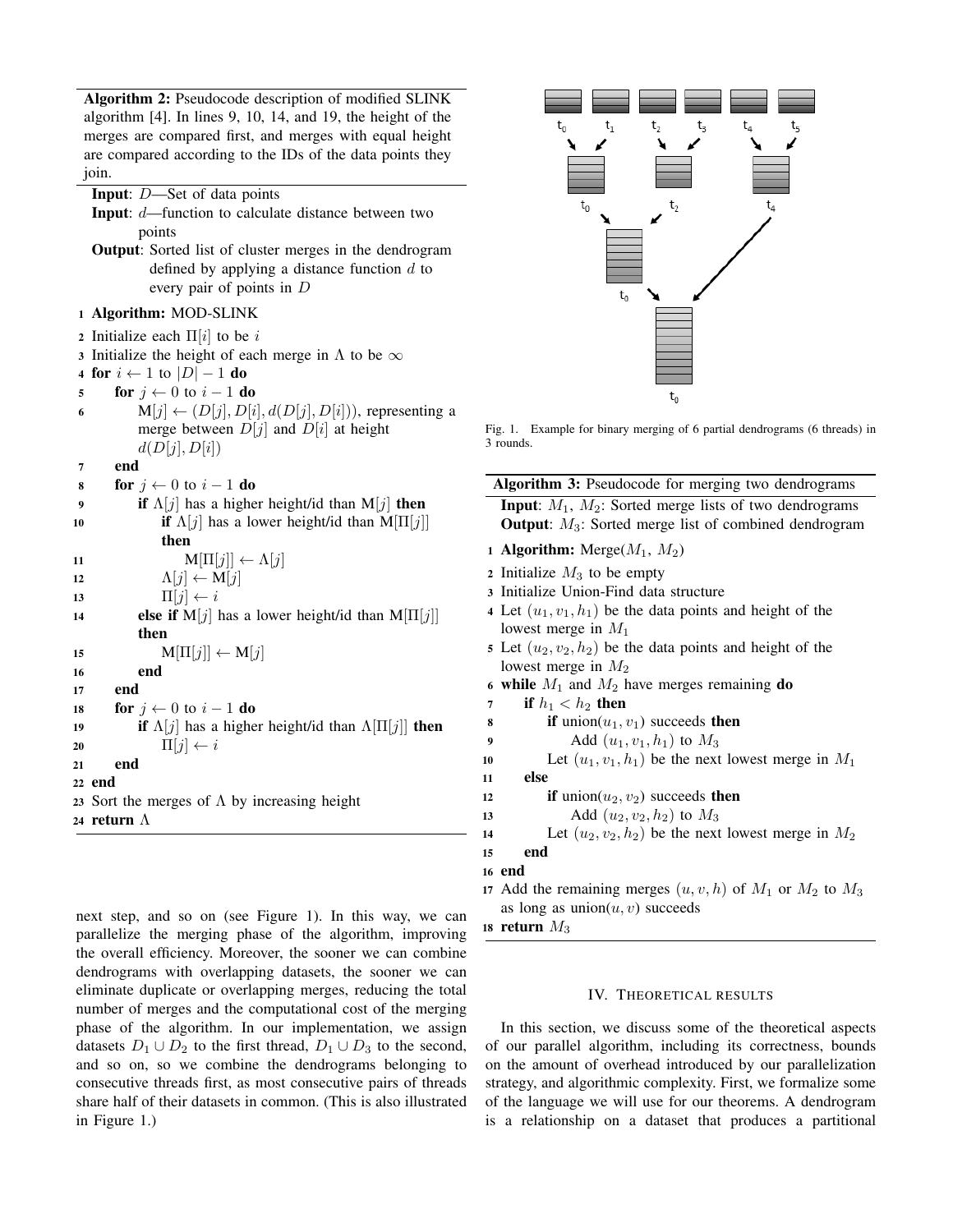Algorithm 2: Pseudocode description of modified SLINK algorithm [4]. In lines 9, 10, 14, and 19, the height of the merges are compared first, and merges with equal height are compared according to the IDs of the data points they join.

Input: D—Set of data points

Input: d—function to calculate distance between two points

Output: Sorted list of cluster merges in the dendrogram defined by applying a distance function  $d$  to every pair of points in D

# <sup>1</sup> Algorithm: MOD-SLINK

2 Initialize each  $\Pi[i]$  to be i 3 Initialize the height of each merge in  $\Lambda$  to be  $\infty$ 4 for  $i \leftarrow 1$  to  $|D| - 1$  do 5 for  $j \leftarrow 0$  to  $i - 1$  do 6 M[j]  $\leftarrow$  (D[j], D[i], d(D[j], D[i])), representing a merge between  $D[j]$  and  $D[i]$  at height  $d(D[j], D[i])$ <sup>7</sup> end 8 for  $j \leftarrow 0$  to  $i - 1$  do 9 if  $\Lambda[j]$  has a higher height/id than  $\mathbf{M}[j]$  then 10 **if**  $\Lambda[j]$  has a lower height/id than  $M[\Pi[j]]$ then 11  $\mathbf{M}[\Pi[j]] \leftarrow \Lambda[j]$ 12  $\Lambda[j] \leftarrow \mathbf{M}[j]$ 13  $\Pi[j] \leftarrow i$ 14 **else if** M[j] has a lower height/id than M[ $\Pi[j]$ ] then 15  $M[\Pi[i]] \leftarrow M[i]$ <sup>16</sup> end <sup>17</sup> end 18 **for**  $j \leftarrow 0$  to  $i - 1$  **do** 19 if  $\Lambda[j]$  has a higher height/id than  $\Lambda[\Pi[j]]$  then 20  $\Pi[j] \leftarrow i$ <sup>21</sup> end <sup>22</sup> end 23 Sort the merges of  $\Lambda$  by increasing height 24 return  $\Lambda$ 

next step, and so on (see Figure 1). In this way, we can parallelize the merging phase of the algorithm, improving the overall efficiency. Moreover, the sooner we can combine dendrograms with overlapping datasets, the sooner we can eliminate duplicate or overlapping merges, reducing the total number of merges and the computational cost of the merging phase of the algorithm. In our implementation, we assign datasets  $D_1 \cup D_2$  to the first thread,  $D_1 \cup D_3$  to the second, and so on, so we combine the dendrograms belonging to consecutive threads first, as most consecutive pairs of threads share half of their datasets in common. (This is also illustrated in Figure 1.)



Fig. 1. Example for binary merging of 6 partial dendrograms (6 threads) in 3 rounds.

| Algorithm 3: Pseudocode for merging two dendrograms                 |  |  |  |  |
|---------------------------------------------------------------------|--|--|--|--|
| <b>Input:</b> $M_1$ , $M_2$ : Sorted merge lists of two dendrograms |  |  |  |  |
| <b>Output:</b> $M_3$ : Sorted merge list of combined dendrogram     |  |  |  |  |
| 1 <b>Algorithm:</b> Merge $(M_1, M_2)$                              |  |  |  |  |
| 2 Initialize $M_3$ to be empty                                      |  |  |  |  |
| 3 Initialize Union-Find data structure                              |  |  |  |  |
| 4 Let $(u_1, v_1, h_1)$ be the data points and height of the        |  |  |  |  |
| lowest merge in $M_1$                                               |  |  |  |  |
| 5 Let $(u_2, v_2, h_2)$ be the data points and height of the        |  |  |  |  |
| lowest merge in $M_2$                                               |  |  |  |  |
| 6 while $M_1$ and $M_2$ have merges remaining do                    |  |  |  |  |
| if $h_1 < h_2$ then<br>7                                            |  |  |  |  |
| <b>if</b> union $(u_1, v_1)$ succeeds <b>then</b><br>8              |  |  |  |  |
| Add $(u_1, v_1, h_1)$ to $M_3$<br>9                                 |  |  |  |  |
| Let $(u_1, v_1, h_1)$ be the next lowest merge in $M_1$<br>10       |  |  |  |  |
| else<br>11                                                          |  |  |  |  |
| <b>if</b> union( $u_2, v_2$ ) succeeds <b>then</b><br>12            |  |  |  |  |
| Add $(u_2, v_2, h_2)$ to $M_3$<br>13                                |  |  |  |  |
| Let $(u_2, v_2, h_2)$ be the next lowest merge in $M_2$<br>14       |  |  |  |  |
| end<br>15                                                           |  |  |  |  |
| 16 end                                                              |  |  |  |  |
| 17 Add the remaining merges $(u, v, h)$ of $M_1$ or $M_2$ to $M_3$  |  |  |  |  |
| as long as $union(u, v)$ succeeds                                   |  |  |  |  |
| 18 return $M_3$                                                     |  |  |  |  |
|                                                                     |  |  |  |  |

## IV. THEORETICAL RESULTS

In this section, we discuss some of the theoretical aspects of our parallel algorithm, including its correctness, bounds on the amount of overhead introduced by our parallelization strategy, and algorithmic complexity. First, we formalize some of the language we will use for our theorems. A dendrogram is a relationship on a dataset that produces a partitional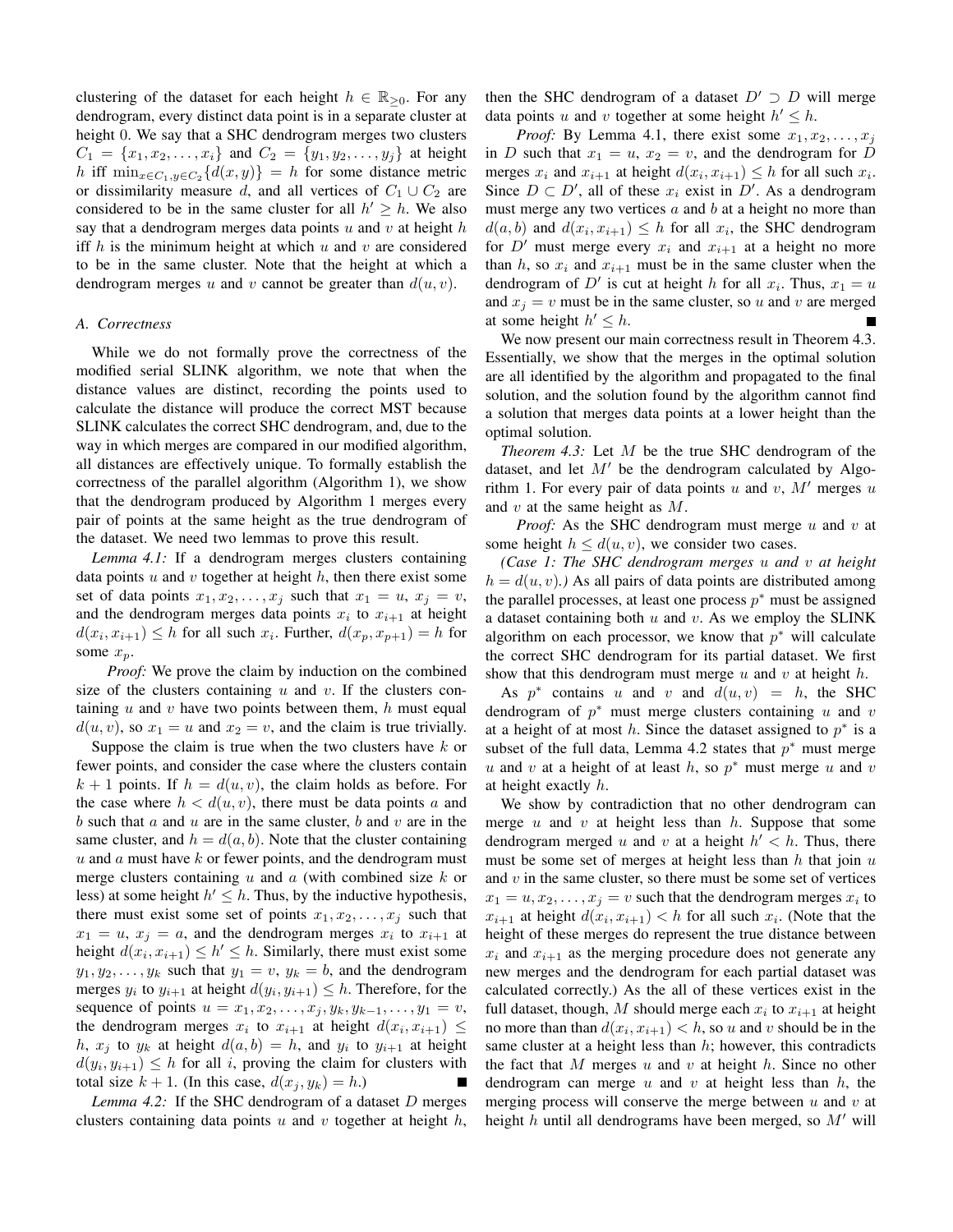clustering of the dataset for each height  $h \in \mathbb{R}_{\geq 0}$ . For any dendrogram, every distinct data point is in a separate cluster at height 0. We say that a SHC dendrogram merges two clusters  $C_1 = \{x_1, x_2, \ldots, x_i\}$  and  $C_2 = \{y_1, y_2, \ldots, y_j\}$  at height h iff  $\min_{x \in C_1, y \in C_2} \{d(x, y)\} = h$  for some distance metric or dissimilarity measure d, and all vertices of  $C_1 \cup C_2$  are considered to be in the same cluster for all  $h' \geq h$ . We also say that a dendrogram merges data points  $u$  and  $v$  at height  $h$ iff  $h$  is the minimum height at which  $u$  and  $v$  are considered to be in the same cluster. Note that the height at which a dendrogram merges u and v cannot be greater than  $d(u, v)$ .

## *A. Correctness*

While we do not formally prove the correctness of the modified serial SLINK algorithm, we note that when the distance values are distinct, recording the points used to calculate the distance will produce the correct MST because SLINK calculates the correct SHC dendrogram, and, due to the way in which merges are compared in our modified algorithm, all distances are effectively unique. To formally establish the correctness of the parallel algorithm (Algorithm 1), we show that the dendrogram produced by Algorithm 1 merges every pair of points at the same height as the true dendrogram of the dataset. We need two lemmas to prove this result.

*Lemma 4.1:* If a dendrogram merges clusters containing data points  $u$  and  $v$  together at height  $h$ , then there exist some set of data points  $x_1, x_2, \ldots, x_j$  such that  $x_1 = u, x_j = v$ , and the dendrogram merges data points  $x_i$  to  $x_{i+1}$  at height  $d(x_i, x_{i+1}) \leq h$  for all such  $x_i$ . Further,  $d(x_p, x_{p+1}) = h$  for some  $x_p$ .

*Proof:* We prove the claim by induction on the combined size of the clusters containing  $u$  and  $v$ . If the clusters containing  $u$  and  $v$  have two points between them,  $h$  must equal  $d(u, v)$ , so  $x_1 = u$  and  $x_2 = v$ , and the claim is true trivially.

Suppose the claim is true when the two clusters have  $k$  or fewer points, and consider the case where the clusters contain  $k + 1$  points. If  $h = d(u, v)$ , the claim holds as before. For the case where  $h < d(u, v)$ , there must be data points a and  $b$  such that  $a$  and  $u$  are in the same cluster,  $b$  and  $v$  are in the same cluster, and  $h = d(a, b)$ . Note that the cluster containing u and a must have  $k$  or fewer points, and the dendrogram must merge clusters containing u and a (with combined size k or less) at some height  $h' \leq h$ . Thus, by the inductive hypothesis, there must exist some set of points  $x_1, x_2, \ldots, x_j$  such that  $x_1 = u, x_j = a$ , and the dendrogram merges  $x_i$  to  $x_{i+1}$  at height  $d(x_i, x_{i+1}) \leq h' \leq h$ . Similarly, there must exist some  $y_1, y_2, \ldots, y_k$  such that  $y_1 = v$ ,  $y_k = b$ , and the dendrogram merges  $y_i$  to  $y_{i+1}$  at height  $d(y_i, y_{i+1}) \leq h$ . Therefore, for the sequence of points  $u = x_1, x_2, \dots, x_j, y_k, y_{k-1}, \dots, y_1 = v$ , the dendrogram merges  $x_i$  to  $x_{i+1}$  at height  $d(x_i, x_{i+1}) \leq$ h,  $x_j$  to  $y_k$  at height  $d(a, b) = h$ , and  $y_i$  to  $y_{i+1}$  at height  $d(y_i, y_{i+1}) \leq h$  for all i, proving the claim for clusters with total size  $k + 1$ . (In this case,  $d(x_j, y_k) = h$ .)

*Lemma 4.2:* If the SHC dendrogram of a dataset D merges clusters containing data points  $u$  and  $v$  together at height  $h$ , then the SHC dendrogram of a dataset  $D' \supset D$  will merge data points u and v together at some height  $h' \leq h$ .

*Proof:* By Lemma 4.1, there exist some  $x_1, x_2, \ldots, x_j$ in D such that  $x_1 = u$ ,  $x_2 = v$ , and the dendrogram for D merges  $x_i$  and  $x_{i+1}$  at height  $d(x_i, x_{i+1}) \leq h$  for all such  $x_i$ . Since  $D \subset D'$ , all of these  $x_i$  exist in  $D'$ . As a dendrogram must merge any two vertices  $a$  and  $b$  at a height no more than  $d(a, b)$  and  $d(x_i, x_{i+1}) \leq h$  for all  $x_i$ , the SHC dendrogram for  $D'$  must merge every  $x_i$  and  $x_{i+1}$  at a height no more than h, so  $x_i$  and  $x_{i+1}$  must be in the same cluster when the dendrogram of D' is cut at height h for all  $x_i$ . Thus,  $x_1 = u$ and  $x_i = v$  must be in the same cluster, so u and v are merged at some height  $h' \leq h$ .

We now present our main correctness result in Theorem 4.3. Essentially, we show that the merges in the optimal solution are all identified by the algorithm and propagated to the final solution, and the solution found by the algorithm cannot find a solution that merges data points at a lower height than the optimal solution.

*Theorem 4.3:* Let M be the true SHC dendrogram of the dataset, and let  $M'$  be the dendrogram calculated by Algorithm 1. For every pair of data points  $u$  and  $v$ ,  $M'$  merges  $u$ and  $v$  at the same height as  $M$ .

*Proof:* As the SHC dendrogram must merge  $u$  and  $v$  at some height  $h \leq d(u, v)$ , we consider two cases.

*(Case 1: The SHC dendrogram merges* u *and* v *at height*  $h = d(u, v)$ .) As all pairs of data points are distributed among the parallel processes, at least one process  $p^*$  must be assigned a dataset containing both  $u$  and  $v$ . As we employ the SLINK algorithm on each processor, we know that  $p^*$  will calculate the correct SHC dendrogram for its partial dataset. We first show that this dendrogram must merge  $u$  and  $v$  at height  $h$ .

As  $p^*$  contains u and v and  $d(u, v) = h$ , the SHC dendrogram of  $p^*$  must merge clusters containing u and v at a height of at most h. Since the dataset assigned to  $p^*$  is a subset of the full data, Lemma 4.2 states that  $p^*$  must merge u and v at a height of at least h, so  $p^*$  must merge u and v at height exactly h.

We show by contradiction that no other dendrogram can merge  $u$  and  $v$  at height less than  $h$ . Suppose that some dendrogram merged u and v at a height  $h' < h$ . Thus, there must be some set of merges at height less than  $h$  that join  $u$ and  $v$  in the same cluster, so there must be some set of vertices  $x_1 = u, x_2, \dots, x_j = v$  such that the dendrogram merges  $x_i$  to  $x_{i+1}$  at height  $d(x_i, x_{i+1}) < h$  for all such  $x_i$ . (Note that the height of these merges do represent the true distance between  $x_i$  and  $x_{i+1}$  as the merging procedure does not generate any new merges and the dendrogram for each partial dataset was calculated correctly.) As the all of these vertices exist in the full dataset, though, M should merge each  $x_i$  to  $x_{i+1}$  at height no more than than  $d(x_i, x_{i+1}) < h$ , so u and v should be in the same cluster at a height less than  $h$ ; however, this contradicts the fact that  $M$  merges  $u$  and  $v$  at height  $h$ . Since no other dendrogram can merge  $u$  and  $v$  at height less than  $h$ , the merging process will conserve the merge between  $u$  and  $v$  at height  $h$  until all dendrograms have been merged, so  $M'$  will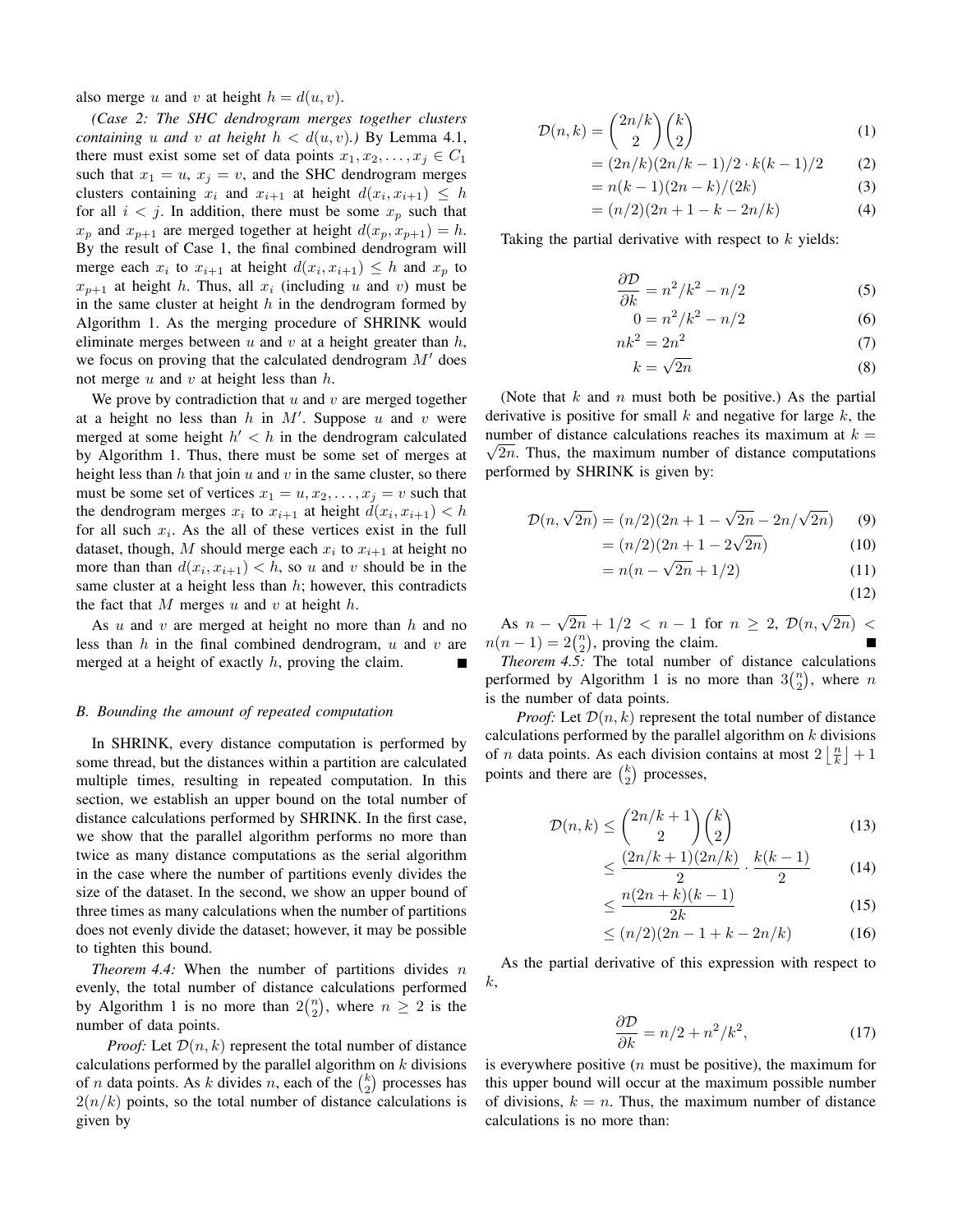also merge u and v at height  $h = d(u, v)$ .

*(Case 2: The SHC dendrogram merges together clusters containing u and v at height*  $h < d(u, v)$ *.*) By Lemma 4.1, there must exist some set of data points  $x_1, x_2, \ldots, x_j \in C_1$ such that  $x_1 = u$ ,  $x_j = v$ , and the SHC dendrogram merges clusters containing  $x_i$  and  $x_{i+1}$  at height  $d(x_i, x_{i+1}) \leq h$ for all  $i < j$ . In addition, there must be some  $x_p$  such that  $x_p$  and  $x_{p+1}$  are merged together at height  $d(x_p, x_{p+1}) = h$ . By the result of Case 1, the final combined dendrogram will merge each  $x_i$  to  $x_{i+1}$  at height  $d(x_i, x_{i+1}) \leq h$  and  $x_p$  to  $x_{n+1}$  at height h. Thus, all  $x_i$  (including u and v) must be in the same cluster at height  $h$  in the dendrogram formed by Algorithm 1. As the merging procedure of SHRINK would eliminate merges between  $u$  and  $v$  at a height greater than  $h$ , we focus on proving that the calculated dendrogram  $M'$  does not merge  $u$  and  $v$  at height less than  $h$ .

We prove by contradiction that  $u$  and  $v$  are merged together at a height no less than  $h$  in  $M'$ . Suppose  $u$  and  $v$  were merged at some height  $h' < h$  in the dendrogram calculated by Algorithm 1. Thus, there must be some set of merges at height less than h that join  $u$  and  $v$  in the same cluster, so there must be some set of vertices  $x_1 = u, x_2, \dots, x_j = v$  such that the dendrogram merges  $x_i$  to  $x_{i+1}$  at height  $d(x_i, x_{i+1}) < h$ for all such  $x_i$ . As the all of these vertices exist in the full dataset, though, M should merge each  $x_i$  to  $x_{i+1}$  at height no more than than  $d(x_i, x_{i+1}) < h$ , so u and v should be in the same cluster at a height less than  $h$ ; however, this contradicts the fact that  $M$  merges  $u$  and  $v$  at height  $h$ .

As  $u$  and  $v$  are merged at height no more than  $h$  and no less than h in the final combined dendrogram,  $u$  and  $v$  are merged at a height of exactly  $h$ , proving the claim.

#### *B. Bounding the amount of repeated computation*

In SHRINK, every distance computation is performed by some thread, but the distances within a partition are calculated multiple times, resulting in repeated computation. In this section, we establish an upper bound on the total number of distance calculations performed by SHRINK. In the first case, we show that the parallel algorithm performs no more than twice as many distance computations as the serial algorithm in the case where the number of partitions evenly divides the size of the dataset. In the second, we show an upper bound of three times as many calculations when the number of partitions does not evenly divide the dataset; however, it may be possible to tighten this bound.

*Theorem 4.4:* When the number of partitions divides n evenly, the total number of distance calculations performed by Algorithm 1 is no more than  $2\binom{n}{2}$ , where  $n \ge 2$  is the number of data points.

*Proof:* Let  $\mathcal{D}(n, k)$  represent the total number of distance calculations performed by the parallel algorithm on  $k$  divisions of *n* data points. As *k* divides *n*, each of the  $\binom{k}{2}$  processes has  $2(n/k)$  points, so the total number of distance calculations is given by

$$
\mathcal{D}(n,k) = \binom{2n/k}{2} \binom{k}{2} \tag{1}
$$

$$
= (2n/k)(2n/k - 1)/2 \cdot k(k - 1)/2 \tag{2}
$$

$$
= n(k-1)(2n-k)/(2k)
$$
 (3)

$$
= (n/2)(2n + 1 - k - 2n/k)
$$
 (4)

Taking the partial derivative with respect to  $k$  yields:

$$
\frac{\partial \mathcal{D}}{\partial k} = n^2 / k^2 - n/2 \tag{5}
$$

$$
0 = n^2/k^2 - n/2
$$
 (6)

$$
nk^2 = 2n^2 \tag{7}
$$

$$
k = \sqrt{2n} \tag{8}
$$

(Note that  $k$  and  $n$  must both be positive.) As the partial derivative is positive for small  $k$  and negative for large  $k$ , the number of distance calculations reaches its maximum at  $k =$  $\sqrt{2n}$ . Thus, the maximum number of distance computations performed by SHRINK is given by:

$$
\mathcal{D}(n,\sqrt{2n}) = (n/2)(2n+1-\sqrt{2n}-2n/\sqrt{2n})
$$
 (9)

$$
= (n/2)(2n + 1 - 2\sqrt{2n})
$$
 (10)

$$
= n(n - \sqrt{2n} + 1/2)
$$
 (11)

$$
(12)
$$

As  $n \sqrt{2n} + 1/2 < n - 1$  for  $n \ge 2$ ,  $\mathcal{D}(n, \sqrt{2n}) <$  $n(n-1) = 2{n \choose 2}$ , proving the claim.

*Theorem 4.5:* The total number of distance calculations performed by Algorithm 1 is no more than  $3\binom{n}{2}$ , where n is the number of data points.

*Proof:* Let  $\mathcal{D}(n, k)$  represent the total number of distance calculations performed by the parallel algorithm on  $k$  divisions of *n* data points. As each division contains at most  $2\left\lfloor \frac{n}{k} \right\rfloor + 1$ points and there are  $\binom{k}{2}$  processes,

$$
\mathcal{D}(n,k) \le \binom{2n/k+1}{2}\binom{k}{2} \tag{13}
$$

$$
\leq \frac{(2n/k+1)(2n/k)}{2} \cdot \frac{k(k-1)}{2} \tag{14}
$$

$$
\leq \frac{n(2n+k)(k-1)}{2k} \tag{15}
$$

$$
\leq (n/2)(2n - 1 + k - 2n/k) \tag{16}
$$

As the partial derivative of this expression with respect to k,

$$
\frac{\partial \mathcal{D}}{\partial k} = n/2 + n^2/k^2,\tag{17}
$$

is everywhere positive  $(n \text{ must be positive})$ , the maximum for this upper bound will occur at the maximum possible number of divisions,  $k = n$ . Thus, the maximum number of distance calculations is no more than: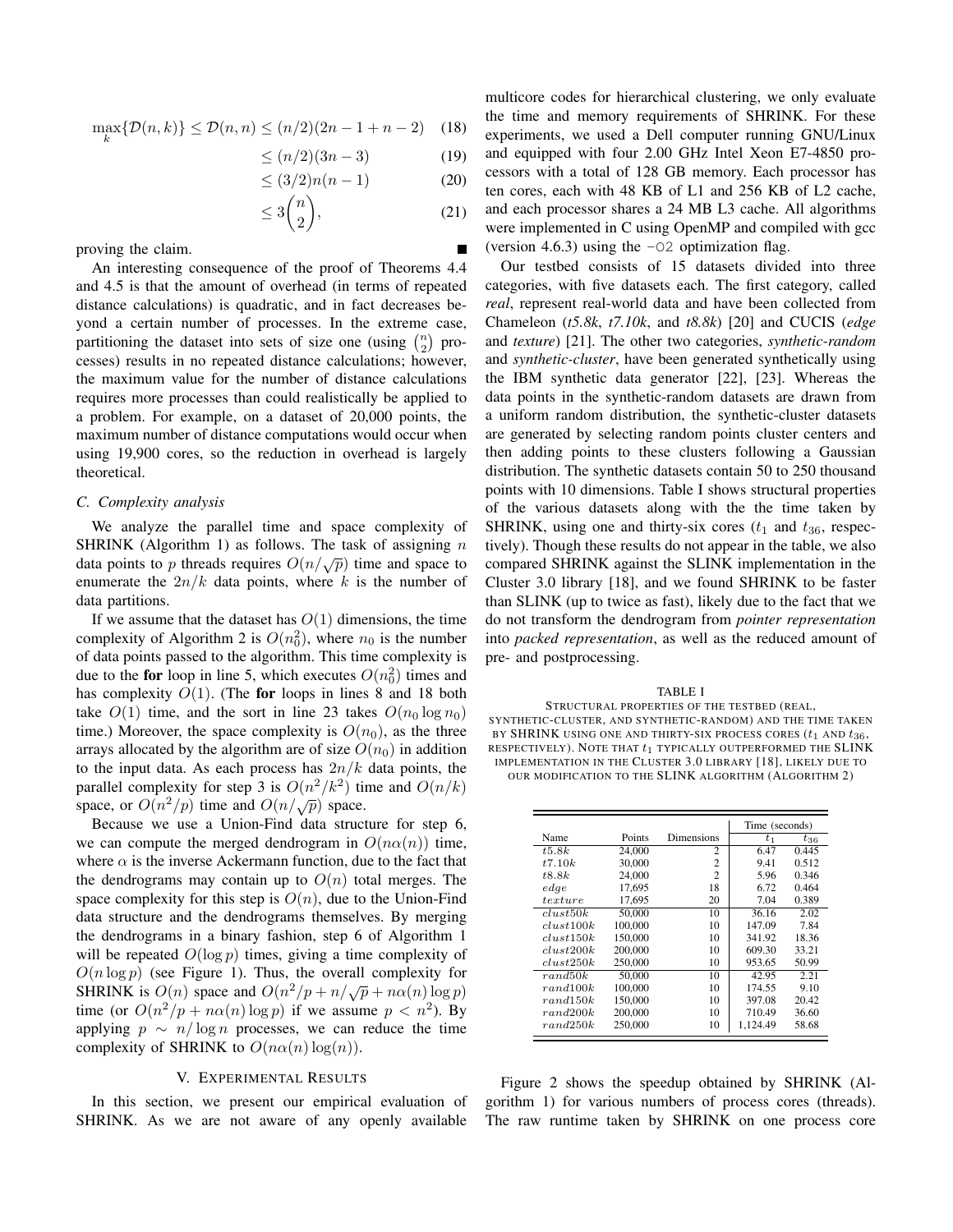$$
\max_{k} \{ \mathcal{D}(n,k) \} \le \mathcal{D}(n,n) \le (n/2)(2n-1+n-2) \quad (18)
$$

$$
\leq (n/2)(3n-3) \tag{19}
$$

$$
\leq (3/2)n(n-1) \tag{20}
$$

$$
\leq 3\binom{n}{2},\tag{21}
$$

proving the claim.

An interesting consequence of the proof of Theorems 4.4 and 4.5 is that the amount of overhead (in terms of repeated distance calculations) is quadratic, and in fact decreases beyond a certain number of processes. In the extreme case, partitioning the dataset into sets of size one (using  $\binom{n}{2}$  processes) results in no repeated distance calculations; however, the maximum value for the number of distance calculations requires more processes than could realistically be applied to a problem. For example, on a dataset of 20,000 points, the maximum number of distance computations would occur when using 19,900 cores, so the reduction in overhead is largely theoretical.

# *C. Complexity analysis*

We analyze the parallel time and space complexity of SHRINK (Algorithm 1) as follows. The task of assigning  $n$ data points to p threads requires  $O(n/\sqrt{p})$  time and space to enumerate the  $2n/k$  data points, where k is the number of data partitions.

If we assume that the dataset has  $O(1)$  dimensions, the time complexity of Algorithm 2 is  $O(n_0^2)$ , where  $n_0$  is the number of data points passed to the algorithm. This time complexity is due to the **for** loop in line 5, which executes  $O(n_0^2)$  times and has complexity  $O(1)$ . (The for loops in lines 8 and 18 both take  $O(1)$  time, and the sort in line 23 takes  $O(n_0 \log n_0)$ time.) Moreover, the space complexity is  $O(n_0)$ , as the three arrays allocated by the algorithm are of size  $O(n_0)$  in addition to the input data. As each process has  $2n/k$  data points, the parallel complexity for step 3 is  $O(n^2/k^2)$  time and  $O(n/k)$ parallel complexity for step 3 is  $O(n^2/\kappa)$  to<br>space, or  $O(n^2/p)$  time and  $O(n/\sqrt{p})$  space.

Because we use a Union-Find data structure for step 6, we can compute the merged dendrogram in  $O(n\alpha(n))$  time, where  $\alpha$  is the inverse Ackermann function, due to the fact that the dendrograms may contain up to  $O(n)$  total merges. The space complexity for this step is  $O(n)$ , due to the Union-Find data structure and the dendrograms themselves. By merging the dendrograms in a binary fashion, step 6 of Algorithm 1 will be repeated  $O(\log p)$  times, giving a time complexity of  $O(n \log p)$  (see Figure 1). Thus, the overall complexity for SHRINK is  $O(n)$  space and  $O(n^2/p + n/\sqrt{p} + n\alpha(n) \log p)$ time (or  $O(n^2/p + n\alpha(n) \log p)$  if we assume  $p < n^2$ ). By applying  $p \sim n/\log n$  processes, we can reduce the time complexity of SHRINK to  $O(n\alpha(n) \log(n)).$ 

# V. EXPERIMENTAL RESULTS

In this section, we present our empirical evaluation of SHRINK. As we are not aware of any openly available

multicore codes for hierarchical clustering, we only evaluate the time and memory requirements of SHRINK. For these experiments, we used a Dell computer running GNU/Linux and equipped with four 2.00 GHz Intel Xeon E7-4850 processors with a total of 128 GB memory. Each processor has ten cores, each with 48 KB of L1 and 256 KB of L2 cache, and each processor shares a 24 MB L3 cache. All algorithms were implemented in C using OpenMP and compiled with gcc (version 4.6.3) using the  $-02$  optimization flag.

Our testbed consists of 15 datasets divided into three categories, with five datasets each. The first category, called *real*, represent real-world data and have been collected from Chameleon (*t5.8k*, *t7.10k*, and *t8.8k*) [20] and CUCIS (*edge* and *texture*) [21]. The other two categories, *synthetic-random* and *synthetic-cluster*, have been generated synthetically using the IBM synthetic data generator [22], [23]. Whereas the data points in the synthetic-random datasets are drawn from a uniform random distribution, the synthetic-cluster datasets are generated by selecting random points cluster centers and then adding points to these clusters following a Gaussian distribution. The synthetic datasets contain 50 to 250 thousand points with 10 dimensions. Table I shows structural properties of the various datasets along with the the time taken by SHRINK, using one and thirty-six cores  $(t_1$  and  $t_{36}$ , respectively). Though these results do not appear in the table, we also compared SHRINK against the SLINK implementation in the Cluster 3.0 library [18], and we found SHRINK to be faster than SLINK (up to twice as fast), likely due to the fact that we do not transform the dendrogram from *pointer representation* into *packed representation*, as well as the reduced amount of pre- and postprocessing.

#### TABLE I

STRUCTURAL PROPERTIES OF THE TESTBED (REAL, SYNTHETIC-CLUSTER, AND SYNTHETIC-RANDOM) AND THE TIME TAKEN BY SHRINK USING ONE AND THIRTY-SIX PROCESS CORES  $(t_1$  AND  $t_{36}$ , respectively). Note that  $t_1$  typically outperformed the SLINK IMPLEMENTATION IN THE CLUSTER 3.0 LIBRARY [18], LIKELY DUE TO OUR MODIFICATION TO THE SLINK ALGORITHM (ALGORITHM 2)

|           |         |                   | Time (seconds) |          |
|-----------|---------|-------------------|----------------|----------|
| Name      | Points  | <b>Dimensions</b> | $t_{1}$        | $t_{36}$ |
| t5.8k     | 24,000  | 2                 | 6.47           | 0.445    |
| t7.10k    | 30,000  | 2                 | 9.41           | 0.512    |
| t8.8k     | 24,000  | 2                 | 5.96           | 0.346    |
| $_{edge}$ | 17.695  | 18                | 6.72           | 0.464    |
| texture   | 17,695  | 20                | 7.04           | 0.389    |
| clust50k  | 50,000  | 10                | 36.16          | 2.02     |
| clust100k | 100,000 | 10                | 147.09         | 7.84     |
| clust150k | 150,000 | 10                | 341.92         | 18.36    |
| clust200k | 200,000 | 10                | 609.30         | 33.21    |
| clust250k | 250,000 | 10                | 953.65         | 50.99    |
| rand50k   | 50,000  | 10                | 42.95          | 2.21     |
| rand100k  | 100,000 | 10                | 174.55         | 9.10     |
| rand150k  | 150,000 | 10                | 397.08         | 20.42    |
| rand200k  | 200,000 | 10                | 710.49         | 36.60    |
| rand250k  | 250,000 | 10                | 1.124.49       | 58.68    |

Figure 2 shows the speedup obtained by SHRINK (Algorithm 1) for various numbers of process cores (threads). The raw runtime taken by SHRINK on one process core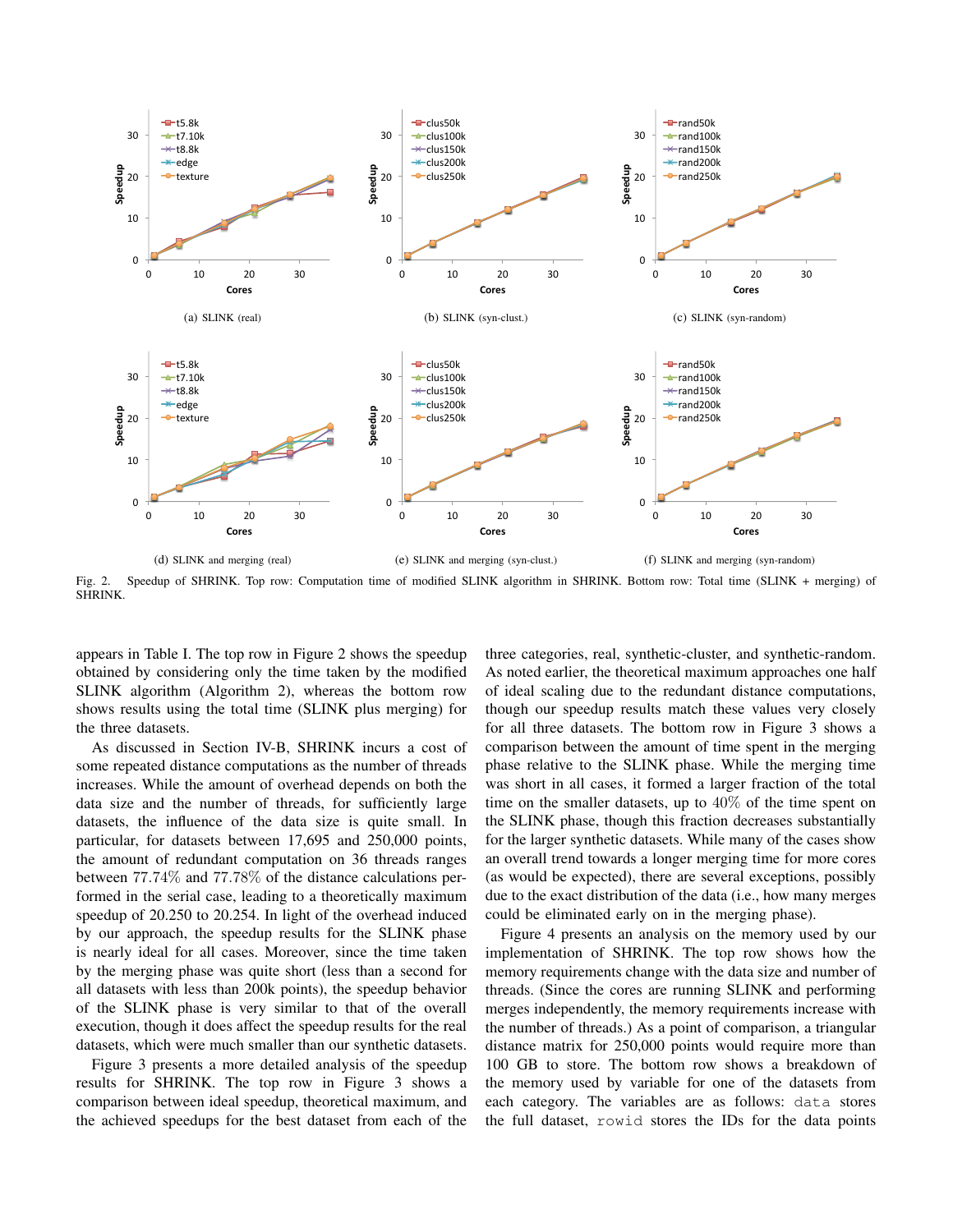

Fig. 2. Speedup of SHRINK. Top row: Computation time of modified SLINK algorithm in SHRINK. Bottom row: Total time (SLINK + merging) of SHRINK.

appears in Table I. The top row in Figure 2 shows the speedup obtained by considering only the time taken by the modified SLINK algorithm (Algorithm 2), whereas the bottom row shows results using the total time (SLINK plus merging) for the three datasets.

As discussed in Section IV-B, SHRINK incurs a cost of some repeated distance computations as the number of threads increases. While the amount of overhead depends on both the data size and the number of threads, for sufficiently large datasets, the influence of the data size is quite small. In particular, for datasets between 17,695 and 250,000 points, the amount of redundant computation on 36 threads ranges between 77.74% and 77.78% of the distance calculations performed in the serial case, leading to a theoretically maximum speedup of 20.250 to 20.254. In light of the overhead induced by our approach, the speedup results for the SLINK phase is nearly ideal for all cases. Moreover, since the time taken by the merging phase was quite short (less than a second for all datasets with less than 200k points), the speedup behavior of the SLINK phase is very similar to that of the overall execution, though it does affect the speedup results for the real datasets, which were much smaller than our synthetic datasets.

Figure 3 presents a more detailed analysis of the speedup results for SHRINK. The top row in Figure 3 shows a comparison between ideal speedup, theoretical maximum, and the achieved speedups for the best dataset from each of the three categories, real, synthetic-cluster, and synthetic-random. As noted earlier, the theoretical maximum approaches one half of ideal scaling due to the redundant distance computations, though our speedup results match these values very closely for all three datasets. The bottom row in Figure 3 shows a comparison between the amount of time spent in the merging phase relative to the SLINK phase. While the merging time was short in all cases, it formed a larger fraction of the total time on the smaller datasets, up to 40% of the time spent on the SLINK phase, though this fraction decreases substantially for the larger synthetic datasets. While many of the cases show an overall trend towards a longer merging time for more cores (as would be expected), there are several exceptions, possibly due to the exact distribution of the data (i.e., how many merges could be eliminated early on in the merging phase).

Figure 4 presents an analysis on the memory used by our implementation of SHRINK. The top row shows how the memory requirements change with the data size and number of threads. (Since the cores are running SLINK and performing merges independently, the memory requirements increase with the number of threads.) As a point of comparison, a triangular distance matrix for 250,000 points would require more than 100 GB to store. The bottom row shows a breakdown of the memory used by variable for one of the datasets from each category. The variables are as follows: data stores the full dataset, rowid stores the IDs for the data points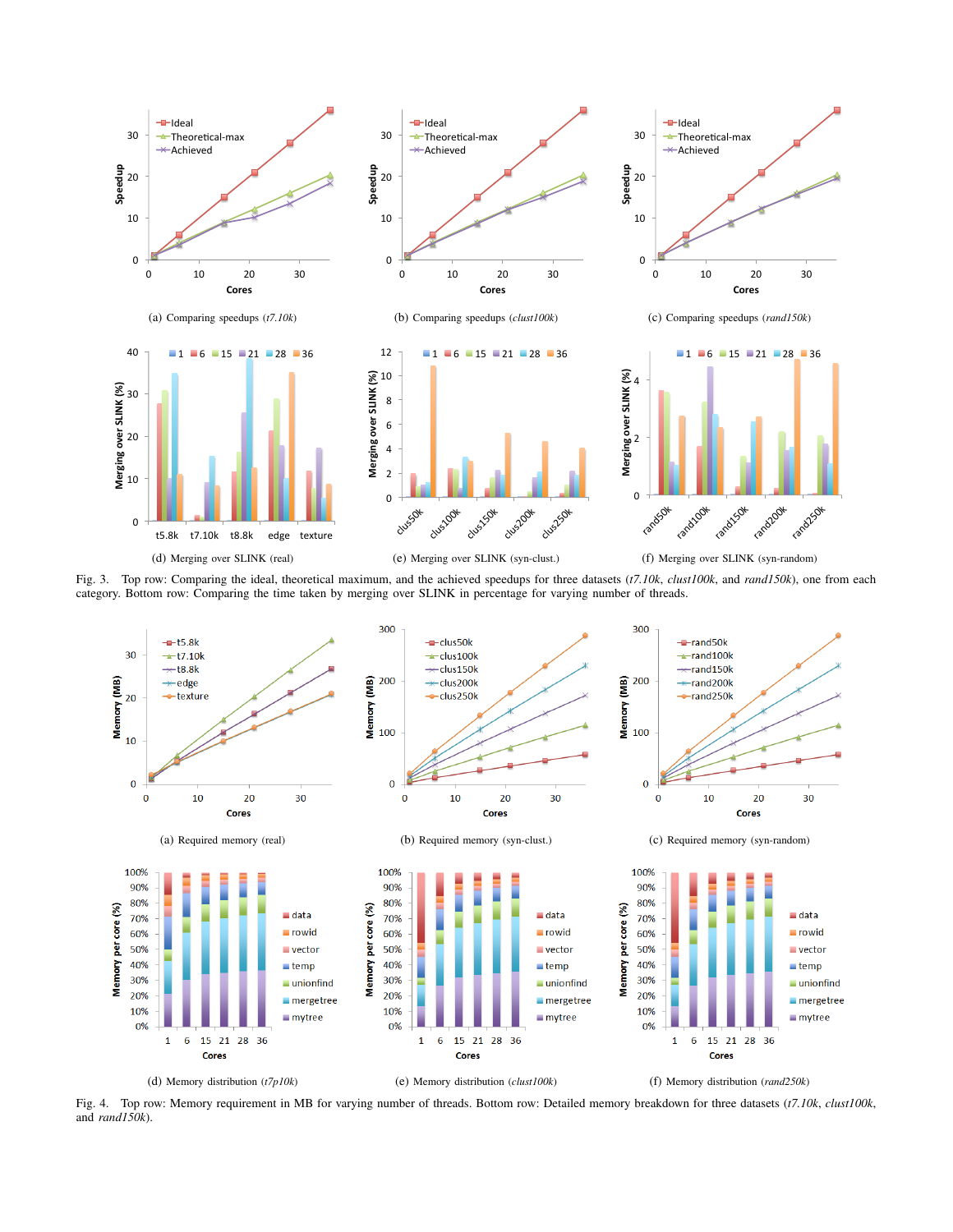

Fig. 3. Top row: Comparing the ideal, theoretical maximum, and the achieved speedups for three datasets (*t7.10k*, *clust100k*, and *rand150k*), one from each category. Bottom row: Comparing the time taken by merging over SLINK in percentage for varying number of threads.



Fig. 4. Top row: Memory requirement in MB for varying number of threads. Bottom row: Detailed memory breakdown for three datasets (*t7.10k*, *clust100k*, and *rand150k*).